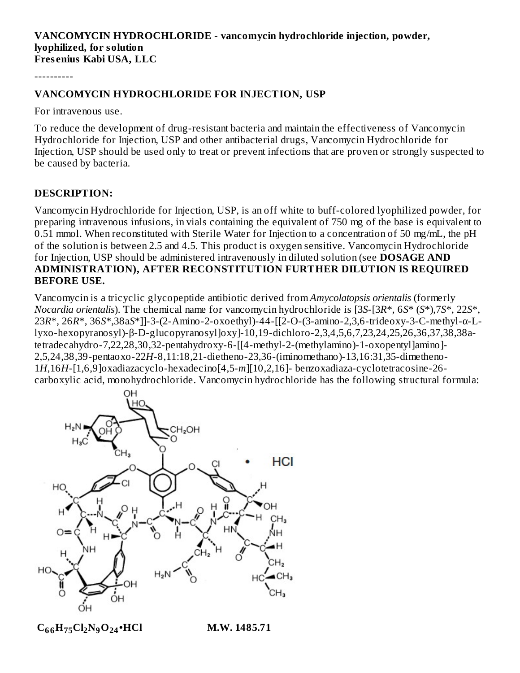#### **VANCOMYCIN HYDROCHLORIDE - vancomycin hydrochloride injection, powder, lyophilized, for solution Fres enius Kabi USA, LLC**

----------

#### **VANCOMYCIN HYDROCHLORIDE FOR INJECTION, USP**

For intravenous use.

To reduce the development of drug-resistant bacteria and maintain the effectiveness of Vancomycin Hydrochloride for Injection, USP and other antibacterial drugs, Vancomycin Hydrochloride for Injection, USP should be used only to treat or prevent infections that are proven or strongly suspected to be caused by bacteria.

#### **DESCRIPTION:**

Vancomycin Hydrochloride for Injection, USP, is an off white to buff-colored lyophilized powder, for preparing intravenous infusions, in vials containing the equivalent of 750 mg of the base is equivalent to 0.51 mmol. When reconstituted with Sterile Water for Injection to a concentration of 50 mg/mL, the pH of the solution is between 2.5 and 4.5. This product is oxygen sensitive. Vancomycin Hydrochloride for Injection, USP should be administered intravenously in diluted solution (see **DOSAGE AND ADMINISTRATION), AFTER RECONSTITUTION FURTHER DILUTION IS REQUIRED BEFORE USE.**

Vancomycin is a tricyclic glycopeptide antibiotic derived from *Amycolatopsis orientalis* (formerly *Nocardia orientalis*). The chemical name for vancomycin hydrochloride is [3*S*-[3*R*\*, 6*S*\* (*S*\*),7*S*\*, 22*S*\*, 23*R*\*, 26*R*\*, 36*S*\*,38a*S*\*]]-3-(2-Amino-2-oxoethyl)-44-[[2-O-(3-amino-2,3,6-trideoxy-3-C-methyl-α-Llyxo-hexopyranosyl)-β-D-glucopyranosyl]oxy]-10,19-dichloro-2,3,4,5,6,7,23,24,25,26,36,37,38,38atetradecahydro-7,22,28,30,32-pentahydroxy-6-[[4-methyl-2-(methylamino)-1-oxopentyl]amino]- 2,5,24,38,39-pentaoxo-22*H*-8,11:18,21-dietheno-23,36-(iminomethano)-13,16:31,35-dimetheno-1*H*,16*H*-[1,6,9]oxadiazacyclo-hexadecino[4,5-*m*][10,2,16]- benzoxadiaza-cyclotetracosine-26 carboxylic acid, monohydrochloride. Vancomycin hydrochloride has the following structural formula:



 $C_{66}H_{75}Cl_{2}N_{9}O_{24}$ •HCl M.W. 1485.71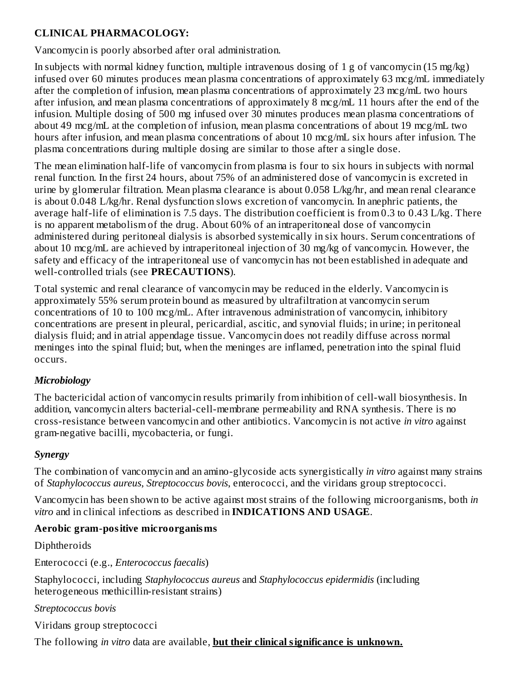#### **CLINICAL PHARMACOLOGY:**

Vancomycin is poorly absorbed after oral administration.

In subjects with normal kidney function, multiple intravenous dosing of 1 g of vancomycin (15 mg/kg) infused over 60 minutes produces mean plasma concentrations of approximately 63 mcg/mL immediately after the completion of infusion, mean plasma concentrations of approximately 23 mcg/mL two hours after infusion, and mean plasma concentrations of approximately 8 mcg/mL 11 hours after the end of the infusion. Multiple dosing of 500 mg infused over 30 minutes produces mean plasma concentrations of about 49 mcg/mL at the completion of infusion, mean plasma concentrations of about 19 mcg/mL two hours after infusion, and mean plasma concentrations of about 10 mcg/mL six hours after infusion. The plasma concentrations during multiple dosing are similar to those after a single dose.

The mean elimination half-life of vancomycin from plasma is four to six hours in subjects with normal renal function. In the first 24 hours, about 75% of an administered dose of vancomycin is excreted in urine by glomerular filtration. Mean plasma clearance is about 0.058 L/kg/hr, and mean renal clearance is about 0.048 L/kg/hr. Renal dysfunction slows excretion of vancomycin. In anephric patients, the average half-life of elimination is 7.5 days. The distribution coefficient is from 0.3 to 0.43 L/kg. There is no apparent metabolism of the drug. About 60% of an intraperitoneal dose of vancomycin administered during peritoneal dialysis is absorbed systemically in six hours. Serum concentrations of about 10 mcg/mL are achieved by intraperitoneal injection of 30 mg/kg of vancomycin. However, the safety and efficacy of the intraperitoneal use of vancomycin has not been established in adequate and well-controlled trials (see **PRECAUTIONS**).

Total systemic and renal clearance of vancomycin may be reduced in the elderly. Vancomycin is approximately 55% serum protein bound as measured by ultrafiltration at vancomycin serum concentrations of 10 to 100 mcg/mL. After intravenous administration of vancomycin, inhibitory concentrations are present in pleural, pericardial, ascitic, and synovial fluids; in urine; in peritoneal dialysis fluid; and in atrial appendage tissue. Vancomycin does not readily diffuse across normal meninges into the spinal fluid; but, when the meninges are inflamed, penetration into the spinal fluid occurs.

### *Microbiology*

The bactericidal action of vancomycin results primarily from inhibition of cell-wall biosynthesis. In addition, vancomycin alters bacterial-cell-membrane permeability and RNA synthesis. There is no cross-resistance between vancomycin and other antibiotics. Vancomycin is not active *in vitro* against gram-negative bacilli, mycobacteria, or fungi.

### *Synergy*

The combination of vancomycin and an amino-glycoside acts synergistically *in vitro* against many strains of *Staphylococcus aureus*, *Streptococcus bovis*, enterococci, and the viridans group streptococci.

Vancomycin has been shown to be active against most strains of the following microorganisms, both *in vitro* and in clinical infections as described in **INDICATIONS AND USAGE**.

#### **Aerobic gram-positive microorganisms**

Diphtheroids

Enterococci (e.g., *Enterococcus faecalis*)

Staphylococci, including *Staphylococcus aureus* and *Staphylococcus epidermidis* (including heterogeneous methicillin-resistant strains)

*Streptococcus bovis*

Viridans group streptococci

The following *in vitro* data are available, **but their clinical significance is unknown.**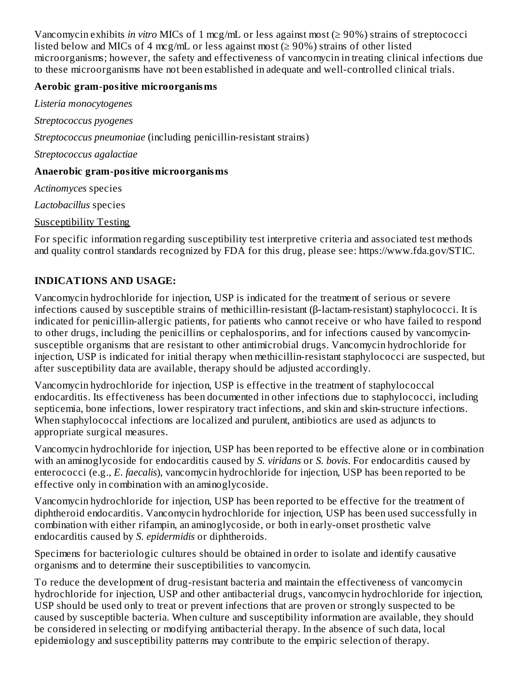Vancomycin exhibits *in vitro* MICs of 1 mcg/mL or less against most (≥ 90%) strains of streptococci listed below and MICs of 4 mcg/mL or less against most ( $\geq$  90%) strains of other listed microorganisms; however, the safety and effectiveness of vancomycin in treating clinical infections due to these microorganisms have not been established in adequate and well-controlled clinical trials.

#### **Aerobic gram-positive microorganisms**

*Listeria monocytogenes Streptococcus pyogenes Streptococcus pneumoniae* (including penicillin-resistant strains) *Streptococcus agalactiae* **Anaerobic gram-positive microorganisms** *Actinomyces* species

*Lactobacillus* species

Susceptibility Testing

For specific information regarding susceptibility test interpretive criteria and associated test methods and quality control standards recognized by FDA for this drug, please see: https://www.fda.gov/STIC.

# **INDICATIONS AND USAGE:**

Vancomycin hydrochloride for injection, USP is indicated for the treatment of serious or severe infections caused by susceptible strains of methicillin-resistant (β-lactam-resistant) staphylococci. It is indicated for penicillin-allergic patients, for patients who cannot receive or who have failed to respond to other drugs, including the penicillins or cephalosporins, and for infections caused by vancomycinsusceptible organisms that are resistant to other antimicrobial drugs. Vancomycin hydrochloride for injection, USP is indicated for initial therapy when methicillin-resistant staphylococci are suspected, but after susceptibility data are available, therapy should be adjusted accordingly.

Vancomycin hydrochloride for injection, USP is effective in the treatment of staphylococcal endocarditis. Its effectiveness has been documented in other infections due to staphylococci, including septicemia, bone infections, lower respiratory tract infections, and skin and skin-structure infections. When staphylococcal infections are localized and purulent, antibiotics are used as adjuncts to appropriate surgical measures.

Vancomycin hydrochloride for injection, USP has been reported to be effective alone or in combination with an aminoglycoside for endocarditis caused by *S. viridans* or *S. bovis*. For endocarditis caused by enterococci (e.g., *E. faecalis*), vancomycin hydrochloride for injection, USP has been reported to be effective only in combination with an aminoglycoside.

Vancomycin hydrochloride for injection, USP has been reported to be effective for the treatment of diphtheroid endocarditis. Vancomycin hydrochloride for injection, USP has been used successfully in combination with either rifampin, an aminoglycoside, or both in early-onset prosthetic valve endocarditis caused by *S. epidermidis* or diphtheroids.

Specimens for bacteriologic cultures should be obtained in order to isolate and identify causative organisms and to determine their susceptibilities to vancomycin.

To reduce the development of drug-resistant bacteria and maintain the effectiveness of vancomycin hydrochloride for injection, USP and other antibacterial drugs, vancomycin hydrochloride for injection, USP should be used only to treat or prevent infections that are proven or strongly suspected to be caused by susceptible bacteria. When culture and susceptibility information are available, they should be considered in selecting or modifying antibacterial therapy. In the absence of such data, local epidemiology and susceptibility patterns may contribute to the empiric selection of therapy.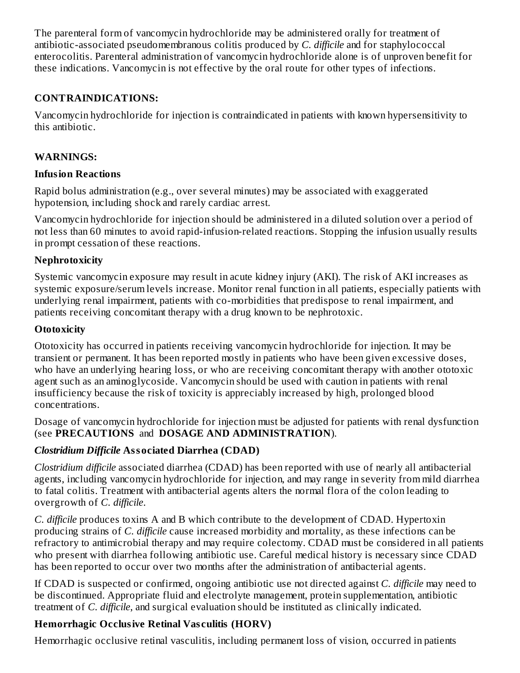The parenteral form of vancomycin hydrochloride may be administered orally for treatment of antibiotic-associated pseudomembranous colitis produced by *C. difficile* and for staphylococcal enterocolitis. Parenteral administration of vancomycin hydrochloride alone is of unproven benefit for these indications. Vancomycin is not effective by the oral route for other types of infections.

## **CONTRAINDICATIONS:**

Vancomycin hydrochloride for injection is contraindicated in patients with known hypersensitivity to this antibiotic.

## **WARNINGS:**

## **Infusion Reactions**

Rapid bolus administration (e.g., over several minutes) may be associated with exaggerated hypotension, including shock and rarely cardiac arrest.

Vancomycin hydrochloride for injection should be administered in a diluted solution over a period of not less than 60 minutes to avoid rapid-infusion-related reactions. Stopping the infusion usually results in prompt cessation of these reactions.

## **Nephrotoxicity**

Systemic vancomycin exposure may result in acute kidney injury (AKI). The risk of AKI increases as systemic exposure/serum levels increase. Monitor renal function in all patients, especially patients with underlying renal impairment, patients with co-morbidities that predispose to renal impairment, and patients receiving concomitant therapy with a drug known to be nephrotoxic.

## **Ototoxicity**

Ototoxicity has occurred in patients receiving vancomycin hydrochloride for injection. It may be transient or permanent. It has been reported mostly in patients who have been given excessive doses, who have an underlying hearing loss, or who are receiving concomitant therapy with another ototoxic agent such as an aminoglycoside. Vancomycin should be used with caution in patients with renal insufficiency because the risk of toxicity is appreciably increased by high, prolonged blood concentrations.

Dosage of vancomycin hydrochloride for injection must be adjusted for patients with renal dysfunction (see **PRECAUTIONS** and **DOSAGE AND ADMINISTRATION**).

# *Clostridium Difficile* **Associated Diarrhea (CDAD)**

*Clostridium difficile* associated diarrhea (CDAD) has been reported with use of nearly all antibacterial agents, including vancomycin hydrochloride for injection, and may range in severity from mild diarrhea to fatal colitis. Treatment with antibacterial agents alters the normal flora of the colon leading to overgrowth of *C. difficile*.

*C. difficile* produces toxins A and B which contribute to the development of CDAD. Hypertoxin producing strains of *C. difficile* cause increased morbidity and mortality, as these infections can be refractory to antimicrobial therapy and may require colectomy. CDAD must be considered in all patients who present with diarrhea following antibiotic use. Careful medical history is necessary since CDAD has been reported to occur over two months after the administration of antibacterial agents.

If CDAD is suspected or confirmed, ongoing antibiotic use not directed against *C. difficile* may need to be discontinued. Appropriate fluid and electrolyte management, protein supplementation, antibiotic treatment of *C. difficile*, and surgical evaluation should be instituted as clinically indicated.

# **Hemorrhagic Occlusive Retinal Vas culitis (HORV)**

Hemorrhagic occlusive retinal vasculitis, including permanent loss of vision, occurred in patients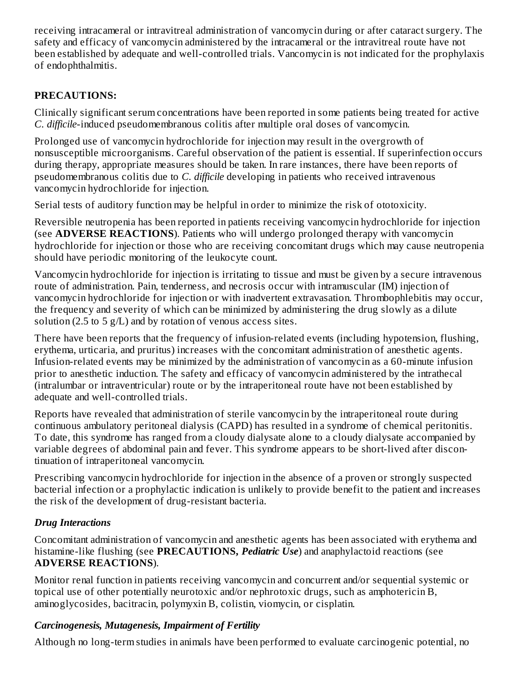receiving intracameral or intravitreal administration of vancomycin during or after cataract surgery. The safety and efficacy of vancomycin administered by the intracameral or the intravitreal route have not been established by adequate and well-controlled trials. Vancomycin is not indicated for the prophylaxis of endophthalmitis.

## **PRECAUTIONS:**

Clinically significant serum concentrations have been reported in some patients being treated for active *C. difficile*-induced pseudomembranous colitis after multiple oral doses of vancomycin.

Prolonged use of vancomycin hydrochloride for injection may result in the overgrowth of nonsusceptible microorganisms. Careful observation of the patient is essential. If superinfection occurs during therapy, appropriate measures should be taken. In rare instances, there have been reports of pseudomembranous colitis due to *C. difficile* developing in patients who received intravenous vancomycin hydrochloride for injection.

Serial tests of auditory function may be helpful in order to minimize the risk of ototoxicity.

Reversible neutropenia has been reported in patients receiving vancomycin hydrochloride for injection (see **ADVERSE REACTIONS**). Patients who will undergo prolonged therapy with vancomycin hydrochloride for injection or those who are receiving concomitant drugs which may cause neutropenia should have periodic monitoring of the leukocyte count.

Vancomycin hydrochloride for injection is irritating to tissue and must be given by a secure intravenous route of administration. Pain, tenderness, and necrosis occur with intramuscular (IM) injection of vancomycin hydrochloride for injection or with inadvertent extravasation. Thrombophlebitis may occur, the frequency and severity of which can be minimized by administering the drug slowly as a dilute solution (2.5 to 5 g/L) and by rotation of venous access sites.

There have been reports that the frequency of infusion-related events (including hypotension, flushing, erythema, urticaria, and pruritus) increases with the concomitant administration of anesthetic agents. Infusion-related events may be minimized by the administration of vancomycin as a 60-minute infusion prior to anesthetic induction. The safety and efficacy of vancomycin administered by the intrathecal (intralumbar or intraventricular) route or by the intraperitoneal route have not been established by adequate and well-controlled trials.

Reports have revealed that administration of sterile vancomycin by the intraperitoneal route during continuous ambulatory peritoneal dialysis (CAPD) has resulted in a syndrome of chemical peritonitis. To date, this syndrome has ranged from a cloudy dialysate alone to a cloudy dialysate accompanied by variable degrees of abdominal pain and fever. This syndrome appears to be short-lived after discontinuation of intraperitoneal vancomycin.

Prescribing vancomycin hydrochloride for injection in the absence of a proven or strongly suspected bacterial infection or a prophylactic indication is unlikely to provide benefit to the patient and increases the risk of the development of drug-resistant bacteria.

# *Drug Interactions*

Concomitant administration of vancomycin and anesthetic agents has been associated with erythema and histamine-like flushing (see **PRECAUTIONS,** *Pediatric Use*) and anaphylactoid reactions (see **ADVERSE REACTIONS**).

Monitor renal function in patients receiving vancomycin and concurrent and/or sequential systemic or topical use of other potentially neurotoxic and/or nephrotoxic drugs, such as amphotericin B, aminoglycosides, bacitracin, polymyxin B, colistin, viomycin, or cisplatin.

### *Carcinogenesis, Mutagenesis, Impairment of Fertility*

Although no long-term studies in animals have been performed to evaluate carcinogenic potential, no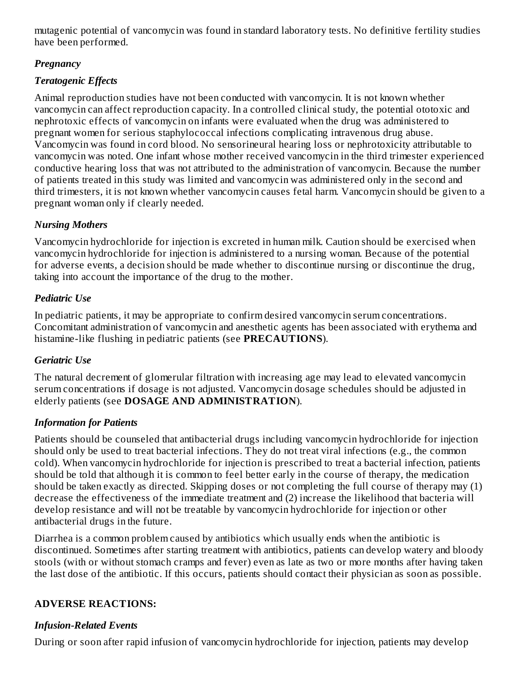mutagenic potential of vancomycin was found in standard laboratory tests. No definitive fertility studies have been performed.

## *Pregnancy*

# *Teratogenic Effects*

Animal reproduction studies have not been conducted with vancomycin. It is not known whether vancomycin can affect reproduction capacity. In a controlled clinical study, the potential ototoxic and nephrotoxic effects of vancomycin on infants were evaluated when the drug was administered to pregnant women for serious staphylococcal infections complicating intravenous drug abuse. Vancomycin was found in cord blood. No sensorineural hearing loss or nephrotoxicity attributable to vancomycin was noted. One infant whose mother received vancomycin in the third trimester experienced conductive hearing loss that was not attributed to the administration of vancomycin. Because the number of patients treated in this study was limited and vancomycin was administered only in the second and third trimesters, it is not known whether vancomycin causes fetal harm. Vancomycin should be given to a pregnant woman only if clearly needed.

## *Nursing Mothers*

Vancomycin hydrochloride for injection is excreted in human milk. Caution should be exercised when vancomycin hydrochloride for injection is administered to a nursing woman. Because of the potential for adverse events, a decision should be made whether to discontinue nursing or discontinue the drug, taking into account the importance of the drug to the mother.

# *Pediatric Use*

In pediatric patients, it may be appropriate to confirm desired vancomycin serum concentrations. Concomitant administration of vancomycin and anesthetic agents has been associated with erythema and histamine-like flushing in pediatric patients (see **PRECAUTIONS**).

# *Geriatric Use*

The natural decrement of glomerular filtration with increasing age may lead to elevated vancomycin serum concentrations if dosage is not adjusted. Vancomycin dosage schedules should be adjusted in elderly patients (see **DOSAGE AND ADMINISTRATION**).

# *Information for Patients*

Patients should be counseled that antibacterial drugs including vancomycin hydrochloride for injection should only be used to treat bacterial infections. They do not treat viral infections (e.g., the common cold). When vancomycin hydrochloride for injection is prescribed to treat a bacterial infection, patients should be told that although it is common to feel better early in the course of therapy, the medication should be taken exactly as directed. Skipping doses or not completing the full course of therapy may (1) decrease the effectiveness of the immediate treatment and (2) increase the likelihood that bacteria will develop resistance and will not be treatable by vancomycin hydrochloride for injection or other antibacterial drugs in the future.

Diarrhea is a common problem caused by antibiotics which usually ends when the antibiotic is discontinued. Sometimes after starting treatment with antibiotics, patients can develop watery and bloody stools (with or without stomach cramps and fever) even as late as two or more months after having taken the last dose of the antibiotic. If this occurs, patients should contact their physician as soon as possible.

# **ADVERSE REACTIONS:**

# *Infusion-Related Events*

During or soon after rapid infusion of vancomycin hydrochloride for injection, patients may develop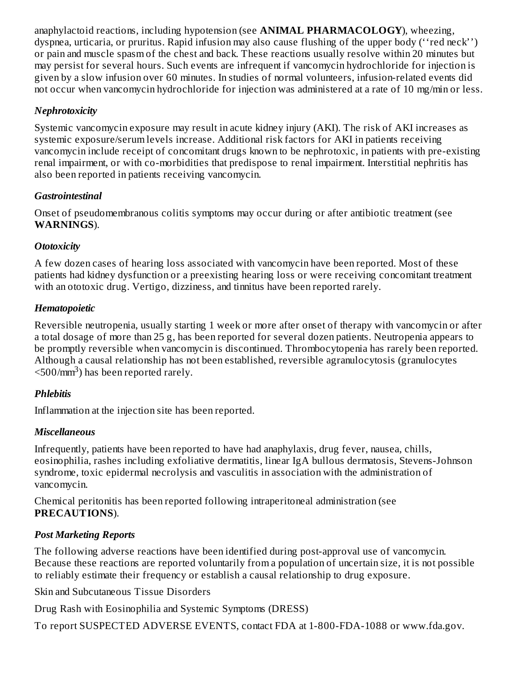anaphylactoid reactions, including hypotension (see **ANIMAL PHARMACOLOGY**), wheezing, dyspnea, urticaria, or pruritus. Rapid infusion may also cause flushing of the upper body (''red neck'') or pain and muscle spasm of the chest and back. These reactions usually resolve within 20 minutes but may persist for several hours. Such events are infrequent if vancomycin hydrochloride for injection is given by a slow infusion over 60 minutes. In studies of normal volunteers, infusion-related events did not occur when vancomycin hydrochloride for injection was administered at a rate of 10 mg/min or less.

### *Nephrotoxicity*

Systemic vancomycin exposure may result in acute kidney injury (AKI). The risk of AKI increases as systemic exposure/serum levels increase. Additional risk factors for AKI in patients receiving vancomycin include receipt of concomitant drugs known to be nephrotoxic, in patients with pre-existing renal impairment, or with co-morbidities that predispose to renal impairment. Interstitial nephritis has also been reported in patients receiving vancomycin.

### *Gastrointestinal*

Onset of pseudomembranous colitis symptoms may occur during or after antibiotic treatment (see **WARNINGS**).

### *Ototoxicity*

A few dozen cases of hearing loss associated with vancomycin have been reported. Most of these patients had kidney dysfunction or a preexisting hearing loss or were receiving concomitant treatment with an ototoxic drug. Vertigo, dizziness, and tinnitus have been reported rarely.

#### *Hematopoietic*

Reversible neutropenia, usually starting 1 week or more after onset of therapy with vancomycin or after a total dosage of more than 25 g, has been reported for several dozen patients. Neutropenia appears to be promptly reversible when vancomycin is discontinued. Thrombocytopenia has rarely been reported. Although a causal relationship has not been established, reversible agranulocytosis (granulocytes  $<$ 500/mm<sup>3</sup>) has been reported rarely.

### *Phlebitis*

Inflammation at the injection site has been reported.

### *Miscellaneous*

Infrequently, patients have been reported to have had anaphylaxis, drug fever, nausea, chills, eosinophilia, rashes including exfoliative dermatitis, linear IgA bullous dermatosis, Stevens-Johnson syndrome, toxic epidermal necrolysis and vasculitis in association with the administration of vancomycin.

Chemical peritonitis has been reported following intraperitoneal administration (see **PRECAUTIONS**).

### *Post Marketing Reports*

The following adverse reactions have been identified during post-approval use of vancomycin. Because these reactions are reported voluntarily from a population of uncertain size, it is not possible to reliably estimate their frequency or establish a causal relationship to drug exposure.

Skin and Subcutaneous Tissue Disorders

Drug Rash with Eosinophilia and Systemic Symptoms (DRESS)

To report SUSPECTED ADVERSE EVENTS, contact FDA at 1-800-FDA-1088 or www.fda.gov.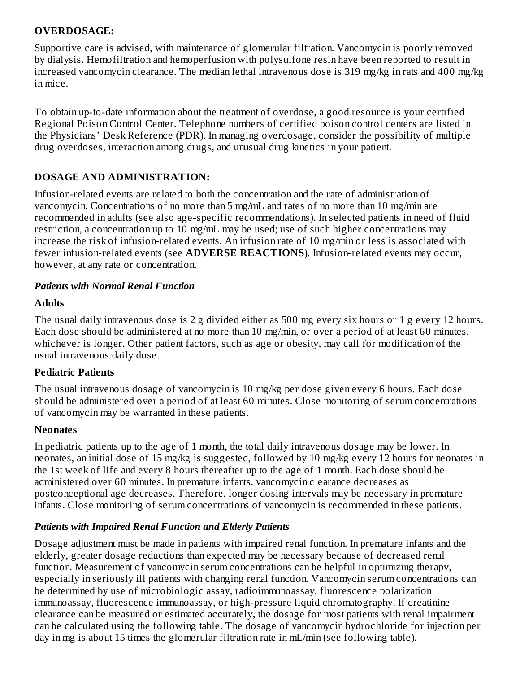#### **OVERDOSAGE:**

Supportive care is advised, with maintenance of glomerular filtration. Vancomycin is poorly removed by dialysis. Hemofiltration and hemoperfusion with polysulfone resin have been reported to result in increased vancomycin clearance. The median lethal intravenous dose is 319 mg/kg in rats and 400 mg/kg in mice.

To obtain up-to-date information about the treatment of overdose, a good resource is your certified Regional Poison Control Center. Telephone numbers of certified poison control centers are listed in the Physicians' Desk Reference (PDR). In managing overdosage, consider the possibility of multiple drug overdoses, interaction among drugs, and unusual drug kinetics in your patient.

### **DOSAGE AND ADMINISTRATION:**

Infusion-related events are related to both the concentration and the rate of administration of vancomycin. Concentrations of no more than 5 mg/mL and rates of no more than 10 mg/min are recommended in adults (see also age-specific recommendations). In selected patients in need of fluid restriction, a concentration up to 10 mg/mL may be used; use of such higher concentrations may increase the risk of infusion-related events. An infusion rate of 10 mg/min or less is associated with fewer infusion-related events (see **ADVERSE REACTIONS**). Infusion-related events may occur, however, at any rate or concentration.

#### *Patients with Normal Renal Function*

#### **Adults**

The usual daily intravenous dose is 2 g divided either as 500 mg every six hours or 1 g every 12 hours. Each dose should be administered at no more than 10 mg/min, or over a period of at least 60 minutes, whichever is longer. Other patient factors, such as age or obesity, may call for modification of the usual intravenous daily dose.

#### **Pediatric Patients**

The usual intravenous dosage of vancomycin is 10 mg/kg per dose given every 6 hours. Each dose should be administered over a period of at least 60 minutes. Close monitoring of serum concentrations of vancomycin may be warranted in these patients.

#### **Neonates**

In pediatric patients up to the age of 1 month, the total daily intravenous dosage may be lower. In neonates, an initial dose of 15 mg/kg is suggested, followed by 10 mg/kg every 12 hours for neonates in the 1st week of life and every 8 hours thereafter up to the age of 1 month. Each dose should be administered over 60 minutes. In premature infants, vancomycin clearance decreases as postconceptional age decreases. Therefore, longer dosing intervals may be necessary in premature infants. Close monitoring of serum concentrations of vancomycin is recommended in these patients.

#### *Patients with Impaired Renal Function and Elderly Patients*

Dosage adjustment must be made in patients with impaired renal function. In premature infants and the elderly, greater dosage reductions than expected may be necessary because of decreased renal function. Measurement of vancomycin serum concentrations can be helpful in optimizing therapy, especially in seriously ill patients with changing renal function. Vancomycin serum concentrations can be determined by use of microbiologic assay, radioimmunoassay, fluorescence polarization immunoassay, fluorescence immunoassay, or high-pressure liquid chromatography. If creatinine clearance can be measured or estimated accurately, the dosage for most patients with renal impairment can be calculated using the following table. The dosage of vancomycin hydrochloride for injection per day in mg is about 15 times the glomerular filtration rate in mL/min (see following table).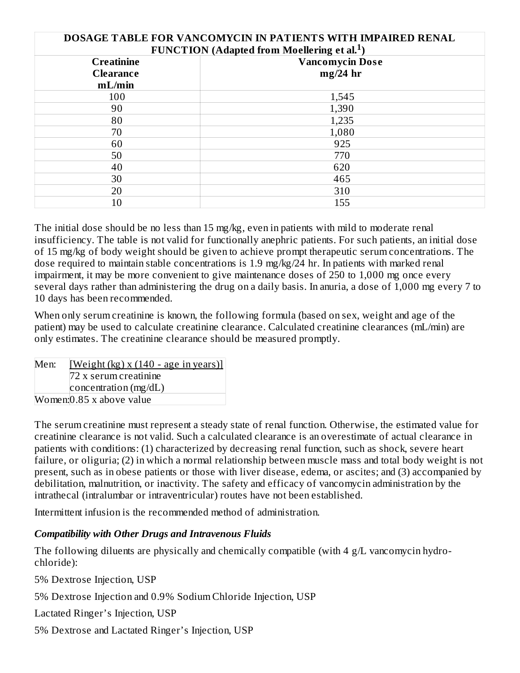| DOSAGE TABLE FOR VANCOMYCIN IN PATIENTS WITH IMPAIRED RENAL<br><b>FUNCTION</b> (Adapted from Moellering et al. <sup>1</sup> ) |            |  |  |  |
|-------------------------------------------------------------------------------------------------------------------------------|------------|--|--|--|
| <b>Vancomycin Dose</b><br><b>Creatinine</b>                                                                                   |            |  |  |  |
| <b>Clearance</b>                                                                                                              | $mg/24$ hr |  |  |  |
| mL/min                                                                                                                        |            |  |  |  |
| 100                                                                                                                           | 1,545      |  |  |  |
| 90                                                                                                                            | 1,390      |  |  |  |
| 80                                                                                                                            | 1,235      |  |  |  |
| 70                                                                                                                            | 1,080      |  |  |  |
| 60                                                                                                                            | 925        |  |  |  |
| 50                                                                                                                            | 770        |  |  |  |
| 40                                                                                                                            | 620        |  |  |  |
| 30                                                                                                                            | 465        |  |  |  |
| 20                                                                                                                            | 310        |  |  |  |
| 10                                                                                                                            | 155        |  |  |  |

The initial dose should be no less than 15 mg/kg, even in patients with mild to moderate renal insufficiency. The table is not valid for functionally anephric patients. For such patients, an initial dose of 15 mg/kg of body weight should be given to achieve prompt therapeutic serum concentrations. The dose required to maintain stable concentrations is 1.9 mg/kg/24 hr. In patients with marked renal impairment, it may be more convenient to give maintenance doses of 250 to 1,000 mg once every several days rather than administering the drug on a daily basis. In anuria, a dose of 1,000 mg every 7 to 10 days has been recommended.

When only serum creatinine is known, the following formula (based on sex, weight and age of the patient) may be used to calculate creatinine clearance. Calculated creatinine clearances (mL/min) are only estimates. The creatinine clearance should be measured promptly.

| Men: | [Weight $(kg)$ x $(140 - age$ in years]] |
|------|------------------------------------------|
|      | 72 x serum creatinine                    |
|      | concentration $(mg/dL)$                  |
|      | Women: 0.85 x above value                |

The serum creatinine must represent a steady state of renal function. Otherwise, the estimated value for creatinine clearance is not valid. Such a calculated clearance is an overestimate of actual clearance in patients with conditions: (1) characterized by decreasing renal function, such as shock, severe heart failure, or oliguria; (2) in which a normal relationship between muscle mass and total body weight is not present, such as in obese patients or those with liver disease, edema, or ascites; and (3) accompanied by debilitation, malnutrition, or inactivity. The safety and efficacy of vancomycin administration by the intrathecal (intralumbar or intraventricular) routes have not been established.

Intermittent infusion is the recommended method of administration.

#### *Compatibility with Other Drugs and Intravenous Fluids*

The following diluents are physically and chemically compatible (with 4 g/L vancomycin hydrochloride):

5% Dextrose Injection, USP

5% Dextrose Injection and 0.9% Sodium Chloride Injection, USP

Lactated Ringer's Injection, USP

5% Dextrose and Lactated Ringer's Injection, USP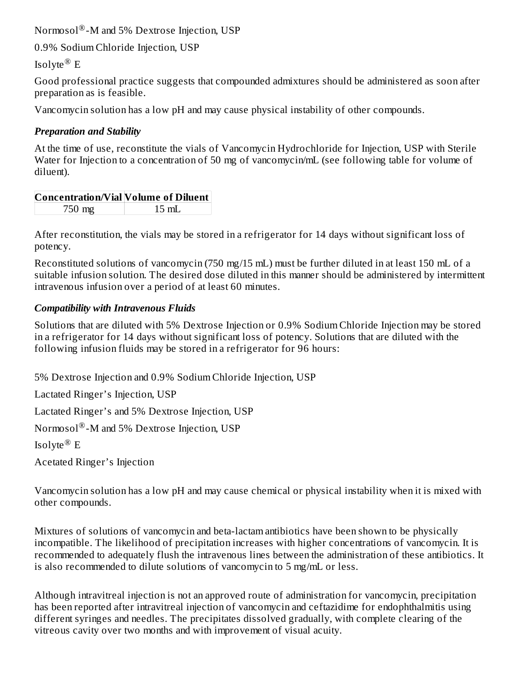$\text{Norm}$ sol $^\circledR$ -M and 5% Dextrose Injection, USP

0.9% Sodium Chloride Injection, USP

Isolyte ${}^{\circledR}$  E

Good professional practice suggests that compounded admixtures should be administered as soon after preparation as is feasible.

Vancomycin solution has a low pH and may cause physical instability of other compounds.

## *Preparation and Stability*

At the time of use, reconstitute the vials of Vancomycin Hydrochloride for Injection, USP with Sterile Water for Injection to a concentration of 50 mg of vancomycin/mL (see following table for volume of diluent).

| Concentration/Vial Volume of Diluent |       |
|--------------------------------------|-------|
| 750 mg                               | 15 mL |

After reconstitution, the vials may be stored in a refrigerator for 14 days without significant loss of potency.

Reconstituted solutions of vancomycin (750 mg/15 mL) must be further diluted in at least 150 mL of a suitable infusion solution. The desired dose diluted in this manner should be administered by intermittent intravenous infusion over a period of at least 60 minutes.

## *Compatibility with Intravenous Fluids*

Solutions that are diluted with 5% Dextrose Injection or 0.9% Sodium Chloride Injection may be stored in a refrigerator for 14 days without significant loss of potency. Solutions that are diluted with the following infusion fluids may be stored in a refrigerator for 96 hours:

5% Dextrose Injection and 0.9% Sodium Chloride Injection, USP

Lactated Ringer's Injection, USP

Lactated Ringer's and 5% Dextrose Injection, USP

 $\text{Normsol}^{\circledR}\text{-}\text{M}$  and 5% Dextrose Injection, USP

Isolyte ${}^{\circledR}$  E

Acetated Ringer's Injection

Vancomycin solution has a low pH and may cause chemical or physical instability when it is mixed with other compounds.

Mixtures of solutions of vancomycin and beta-lactam antibiotics have been shown to be physically incompatible. The likelihood of precipitation increases with higher concentrations of vancomycin. It is recommended to adequately flush the intravenous lines between the administration of these antibiotics. It is also recommended to dilute solutions of vancomycin to 5 mg/mL or less.

Although intravitreal injection is not an approved route of administration for vancomycin, precipitation has been reported after intravitreal injection of vancomycin and ceftazidime for endophthalmitis using different syringes and needles. The precipitates dissolved gradually, with complete clearing of the vitreous cavity over two months and with improvement of visual acuity.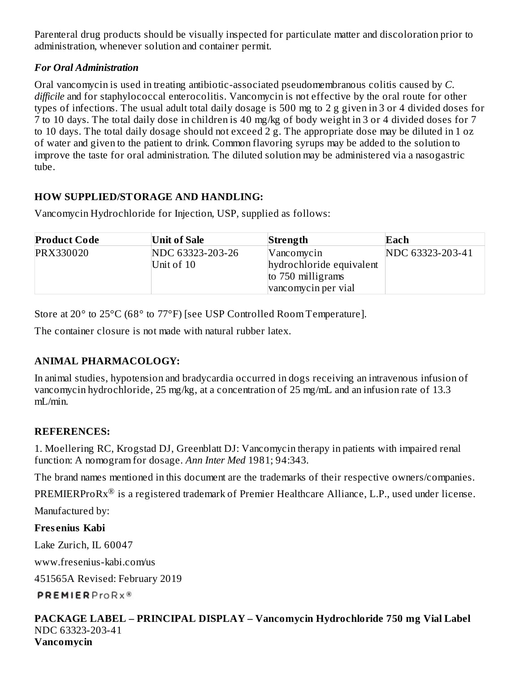Parenteral drug products should be visually inspected for particulate matter and discoloration prior to administration, whenever solution and container permit.

### *For Oral Administration*

Oral vancomycin is used in treating antibiotic-associated pseudomembranous colitis caused by *C. difficile* and for staphylococcal enterocolitis. Vancomycin is not effective by the oral route for other types of infections. The usual adult total daily dosage is 500 mg to 2 g given in 3 or 4 divided doses for 7 to 10 days. The total daily dose in children is 40 mg/kg of body weight in 3 or 4 divided doses for 7 to 10 days. The total daily dosage should not exceed 2 g. The appropriate dose may be diluted in 1 oz of water and given to the patient to drink. Common flavoring syrups may be added to the solution to improve the taste for oral administration. The diluted solution may be administered via a nasogastric tube.

## **HOW SUPPLIED/STORAGE AND HANDLING:**

Vancomycin Hydrochloride for Injection, USP, supplied as follows:

| <b>Product Code</b> | Unit of Sale                     | Strength                                                      | Each             |
|---------------------|----------------------------------|---------------------------------------------------------------|------------------|
| PRX330020           | NDC 63323-203-26<br>Unit of $10$ | Vancomycin<br>hydrochloride equivalent<br>to $750$ milligrams | NDC 63323-203-41 |
|                     |                                  | vancomycin per vial                                           |                  |

Store at 20° to 25°C (68° to 77°F) [see USP Controlled Room Temperature].

The container closure is not made with natural rubber latex.

# **ANIMAL PHARMACOLOGY:**

In animal studies, hypotension and bradycardia occurred in dogs receiving an intravenous infusion of vancomycin hydrochloride, 25 mg/kg, at a concentration of 25 mg/mL and an infusion rate of 13.3 mL/min.

### **REFERENCES:**

1. Moellering RC, Krogstad DJ, Greenblatt DJ: Vancomycin therapy in patients with impaired renal function: A nomogram for dosage. *Ann Inter Med* 1981; 94:343.

The brand names mentioned in this document are the trademarks of their respective owners/companies.

PREMIERProRx $^{\circledR}$  is a registered trademark of Premier Healthcare Alliance, L.P., used under license.

Manufactured by:

# **Fres enius Kabi**

Lake Zurich, IL 60047

www.fresenius-kabi.com/us

451565A Revised: February 2019

**PREMIERProRx®** 

#### **PACKAGE LABEL – PRINCIPAL DISPLAY – Vancomycin Hydrochloride 750 mg Vial Label** NDC 63323-203-41 **Vancomycin**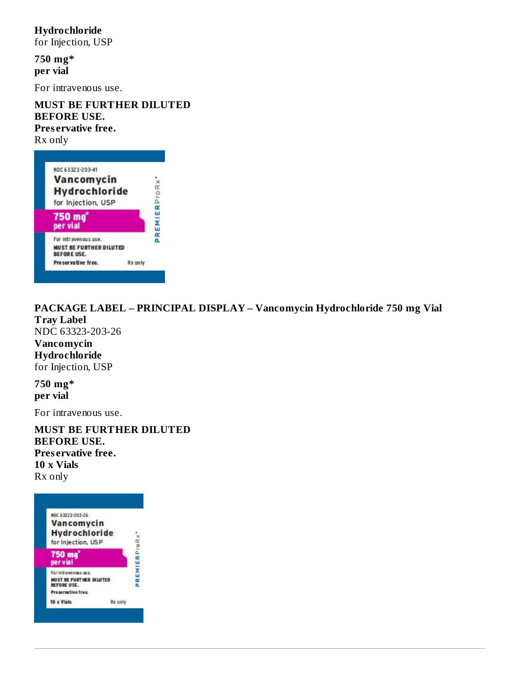### **Hydrochloride**

for Injection, USP

**750 mg\* per vial**

For intravenous use.

**MUST BE FURTHER DILUTED BEFORE USE. Pres ervative free.** Rx only

| NDC 63323-203-41                                       |            |
|--------------------------------------------------------|------------|
| <b>Vancomycin</b>                                      |            |
| <b>Hydrochloride</b>                                   | ProRx      |
| for Injection, USP                                     |            |
| 750 mg<br>per vial                                     | Œ<br>PREMI |
| For intravenous use.<br><b>MUST BE FURTHER DILUTED</b> |            |
| <b>BEFORE USE.</b><br>Preservative free.               | Rx only    |

**PACKAGE LABEL – PRINCIPAL DISPLAY – Vancomycin Hydrochloride 750 mg Vial Tray Label** NDC 63323-203-26 **Vancomycin Hydrochloride** for Injection, USP

**750 mg\* per vial**

For intravenous use.

**MUST BE FURTHER DILUTED BEFORE USE. Pres ervative free. 10 x Vials** Rx only